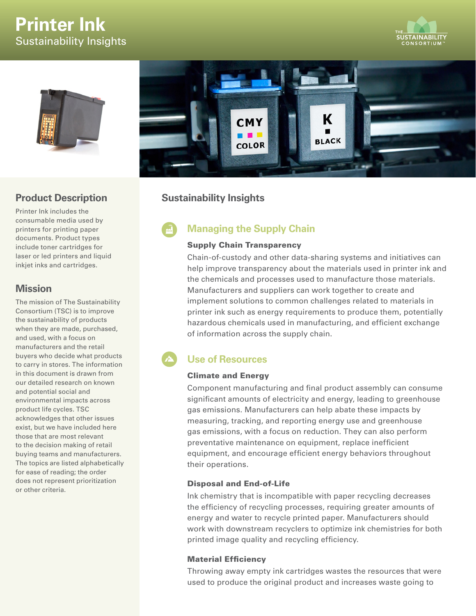# **Printer Ink** Sustainability Insights







## **Product Description**

Printer Ink includes the consumable media used by printers for printing paper documents. Product types include toner cartridges for laser or led printers and liquid inkjet inks and cartridges.

## **Mission**

The mission of The Sustainability Consortium (TSC) is to improve the sustainability of products when they are made, purchased, and used, with a focus on manufacturers and the retail buyers who decide what products to carry in stores. The information in this document is drawn from our detailed research on known and potential social and environmental impacts across product life cycles. TSC acknowledges that other issues exist, but we have included here those that are most relevant to the decision making of retail buying teams and manufacturers. The topics are listed alphabetically for ease of reading; the order does not represent prioritization or other criteria.

# **Sustainability Insights**

# **Managing the Supply Chain**

## Supply Chain Transparency

Chain-of-custody and other data-sharing systems and initiatives can help improve transparency about the materials used in printer ink and the chemicals and processes used to manufacture those materials. Manufacturers and suppliers can work together to create and implement solutions to common challenges related to materials in printer ink such as energy requirements to produce them, potentially hazardous chemicals used in manufacturing, and efficient exchange of information across the supply chain.

# **Use of Resources**

## Climate and Energy

Component manufacturing and final product assembly can consume significant amounts of electricity and energy, leading to greenhouse gas emissions. Manufacturers can help abate these impacts by measuring, tracking, and reporting energy use and greenhouse gas emissions, with a focus on reduction. They can also perform preventative maintenance on equipment, replace inefficient equipment, and encourage efficient energy behaviors throughout their operations.

## Disposal and End-of-Life

Ink chemistry that is incompatible with paper recycling decreases the efficiency of recycling processes, requiring greater amounts of energy and water to recycle printed paper. Manufacturers should work with downstream recyclers to optimize ink chemistries for both printed image quality and recycling efficiency.

## Material Efficiency

Throwing away empty ink cartridges wastes the resources that were used to produce the original product and increases waste going to